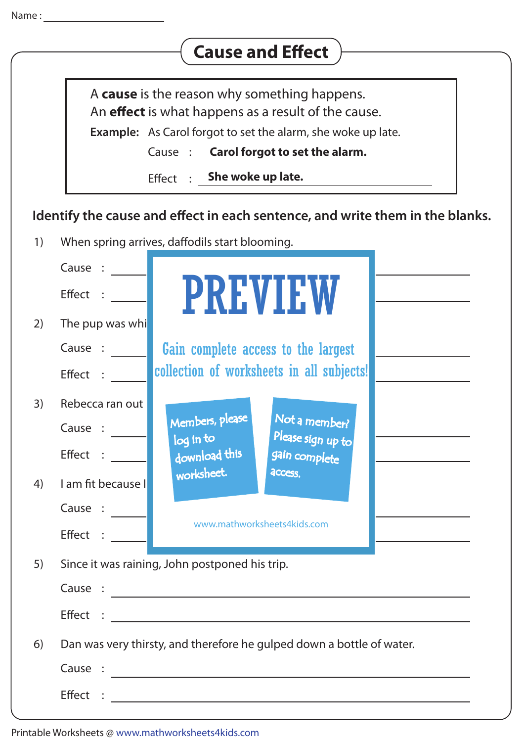